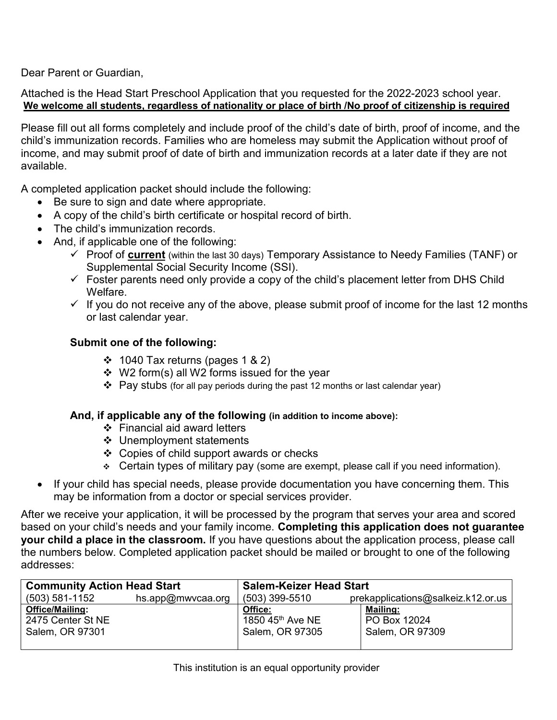Dear Parent or Guardian,

Attached is the Head Start Preschool Application that you requested for the 2022-2023 school year. **We welcome all students, regardless of nationality or place of birth /No proof of citizenship is required**

Please fill out all forms completely and include proof of the child's date of birth, proof of income, and the child's immunization records. Families who are homeless may submit the Application without proof of income, and may submit proof of date of birth and immunization records at a later date if they are not available.

A completed application packet should include the following:

- Be sure to sign and date where appropriate.
- A copy of the child's birth certificate or hospital record of birth.
- The child's immunization records.
- And, if applicable one of the following:
	- Proof of **current** (within the last 30 days) Temporary Assistance to Needy Families (TANF) or Supplemental Social Security Income (SSI).
	- $\checkmark$  Foster parents need only provide a copy of the child's placement letter from DHS Child Welfare.
	- $\checkmark$  If you do not receive any of the above, please submit proof of income for the last 12 months or last calendar year.

### **Submit one of the following:**

- $\div$  1040 Tax returns (pages 1 & 2)
- $\div$  W2 form(s) all W2 forms issued for the year
- $\triangleleft$  Pay stubs (for all pay periods during the past 12 months or last calendar year)

#### **And, if applicable any of the following (in addition to income above):**

- Financial aid award letters
- Unemployment statements
- ❖ Copies of child support awards or checks
- $\div$  Certain types of military pay (some are exempt, please call if you need information).
- If your child has special needs, please provide documentation you have concerning them. This may be information from a doctor or special services provider.

After we receive your application, it will be processed by the program that serves your area and scored based on your child's needs and your family income. **Completing this application does not guarantee your child a place in the classroom.** If you have questions about the application process, please call the numbers below. Completed application packet should be mailed or brought to one of the following addresses:

| <b>Community Action Head Start</b> |                   | <b>Salem-Keizer Head Start</b> |                                    |  |
|------------------------------------|-------------------|--------------------------------|------------------------------------|--|
| (503) 581-1152                     | hs.app@mwvcaa.org | $(503)$ 399-5510               | prekapplications@salkeiz.k12.or.us |  |
| <b>Office/Mailing:</b>             |                   | Office:                        | Mailing:                           |  |
| 2475 Center St NE                  |                   | 1850 45th Ave NE               | PO Box 12024                       |  |
| Salem, OR 97301                    |                   | Salem, OR 97305                | Salem, OR 97309                    |  |
|                                    |                   |                                |                                    |  |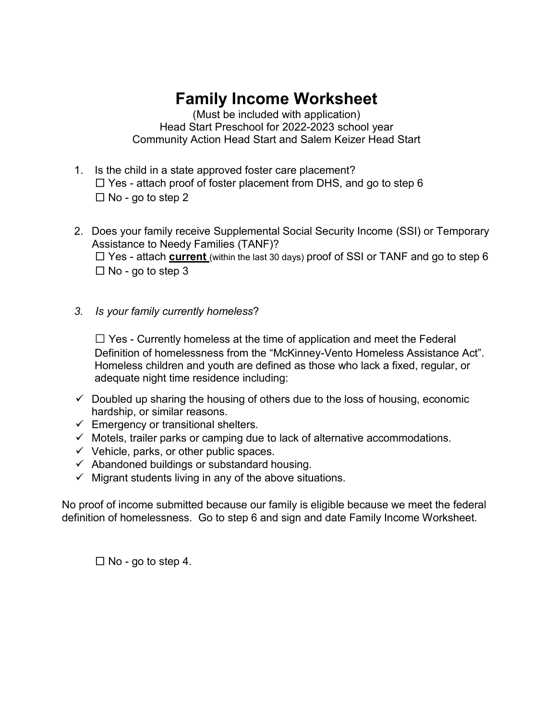# **Family Income Worksheet**

(Must be included with application) Head Start Preschool for 2022-2023 school year Community Action Head Start and Salem Keizer Head Start

- 1. Is the child in a state approved foster care placement?  $\Box$  Yes - attach proof of foster placement from DHS, and go to step 6  $\Box$  No - go to step 2
- 2. Does your family receive Supplemental Social Security Income (SSI) or Temporary Assistance to Needy Families (TANF)? □ Yes - attach **current** (within the last 30 days) proof of SSI or TANF and go to step 6  $\Box$  No - go to step 3
- *3. Is your family currently homeless*?

**□** Yes - Currently homeless at the time of application and meet the Federal Definition of homelessness from the "McKinney-Vento Homeless Assistance Act". Homeless children and youth are defined as those who lack a fixed, regular, or adequate night time residence including:

- $\checkmark$  Doubled up sharing the housing of others due to the loss of housing, economic hardship, or similar reasons.
- $\checkmark$  Emergency or transitional shelters.
- $\checkmark$  Motels, trailer parks or camping due to lack of alternative accommodations.
- $\checkmark$  Vehicle, parks, or other public spaces.
- $\checkmark$  Abandoned buildings or substandard housing.
- $\checkmark$  Migrant students living in any of the above situations.

No proof of income submitted because our family is eligible because we meet the federal definition of homelessness. Go to step 6 and sign and date Family Income Worksheet.

 $\Box$  No - go to step 4.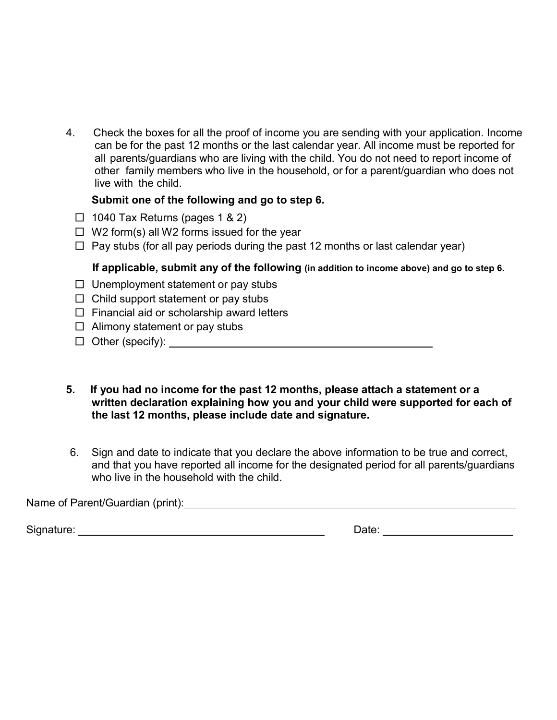4. Check the boxes for all the proof of income you are sending with your application. Income can be for the past 12 months or the last calendar year. All income must be reported for all parents/guardians who are living with the child. You do not need to report income of other family members who live in the household, or for a parent/guardian who does not live with the child.

## **Submit one of the following and go to step 6.**

- $\Box$  1040 Tax Returns (pages 1 & 2)
- $\Box$  W2 form(s) all W2 forms issued for the year
- $\Box$  Pay stubs (for all pay periods during the past 12 months or last calendar year)

# **If applicable, submit any of the following (in addition to income above) and go to step 6.**

- $\Box$  Unemployment statement or pay stubs
- $\Box$  Child support statement or pay stubs
- $\square$  Financial aid or scholarship award letters
- $\Box$  Alimony statement or pay stubs
- □ Other (specify):
- **5. If you had no income for the past 12 months, please attach a statement or a written declaration explaining how you and your child were supported for each of the last 12 months, please include date and signature.**
- 6. Sign and date to indicate that you declare the above information to be true and correct, and that you have reported all income for the designated period for all parents/guardians who live in the household with the child.

Name of Parent/Guardian (print): Mame of Parent/Guardian (print):

Signature: **Date: Date: Date: Date: Date: Date: Date: Date: Date: Date: Date: Date: Date: Date: Date: Date: Date: Date: Date: Date: Date: Date: Date: Date: Date: Date: Da**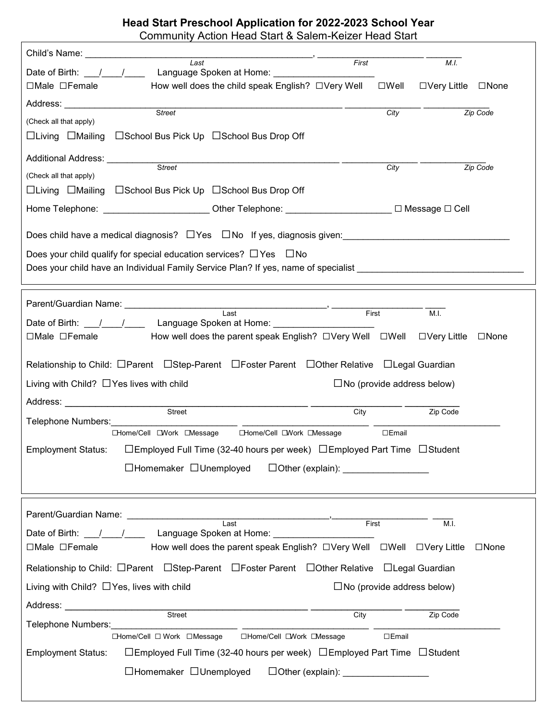### **Head Start Preschool Application for 2022-2023 School Year** Community Action Head Start & Salem-Keizer Head Start

| Last                                                                                                                                                                                                                                     |                                                                         | First |                   | M.I.                                 |             |
|------------------------------------------------------------------------------------------------------------------------------------------------------------------------------------------------------------------------------------------|-------------------------------------------------------------------------|-------|-------------------|--------------------------------------|-------------|
|                                                                                                                                                                                                                                          |                                                                         |       |                   |                                      |             |
| $\Box$ Male $\Box$ Female                                                                                                                                                                                                                | How well does the child speak English? □Very Well □Well                 |       |                   | □Very Little □None                   |             |
| Address: Analysis and the set of the set of the set of the set of the set of the set of the set of the set of the set of the set of the set of the set of the set of the set of the set of the set of the set of the set of th           |                                                                         |       |                   |                                      |             |
| Street<br>(Check all that apply)                                                                                                                                                                                                         |                                                                         |       | $\overline{City}$ |                                      | Zip Code    |
| □Living □Mailing □School Bus Pick Up □School Bus Drop Off                                                                                                                                                                                |                                                                         |       |                   |                                      |             |
|                                                                                                                                                                                                                                          |                                                                         |       |                   |                                      |             |
| Additional Address: Street<br>(Check all that apply)                                                                                                                                                                                     |                                                                         |       | City              |                                      | Zip Code    |
| □Living □Mailing □School Bus Pick Up □School Bus Drop Off                                                                                                                                                                                |                                                                         |       |                   |                                      |             |
|                                                                                                                                                                                                                                          |                                                                         |       |                   |                                      |             |
| Home Telephone: __________________________Other Telephone: ___________________________ □ Message □ Cell                                                                                                                                  |                                                                         |       |                   |                                      |             |
|                                                                                                                                                                                                                                          |                                                                         |       |                   |                                      |             |
| Does your child qualify for special education services? $\Box$ Yes $\Box$ No                                                                                                                                                             |                                                                         |       |                   |                                      |             |
| Does your child have an Individual Family Service Plan? If yes, name of specialist ___________________________                                                                                                                           |                                                                         |       |                   |                                      |             |
|                                                                                                                                                                                                                                          |                                                                         |       |                   |                                      |             |
| Parent/Guardian Name: Name: Name and Name and Name and Name and Name and Name and Name and Name and Name and N                                                                                                                           |                                                                         |       |                   |                                      |             |
|                                                                                                                                                                                                                                          | Last                                                                    |       |                   | M.I.                                 |             |
| □Male □Female       How well does the parent speak English? □Very Well □Well □Very Little □None                                                                                                                                          |                                                                         |       |                   |                                      |             |
|                                                                                                                                                                                                                                          |                                                                         |       |                   |                                      |             |
| Relationship to Child: □Parent □Step-Parent □Foster Parent □Other Relative □Legal Guardian                                                                                                                                               |                                                                         |       |                   |                                      |             |
| Living with Child? $\Box$ Yes lives with child                                                                                                                                                                                           |                                                                         |       |                   | $\square$ No (provide address below) |             |
|                                                                                                                                                                                                                                          |                                                                         |       |                   |                                      |             |
| Address: Analysis and the set of the set of the set of the set of the set of the set of the set of the set of the set of the set of the set of the set of the set of the set of the set of the set of the set of the set of th<br>Street |                                                                         | City  |                   | Zip Code                             |             |
| Telephone Numbers: Management Control and Control of Telephone Numbers:                                                                                                                                                                  |                                                                         |       |                   |                                      |             |
|                                                                                                                                                                                                                                          | □Home/Cell □Work □Message □Home/Cell □Work □Message                     |       | $\square$ Email   |                                      |             |
| <b>Employment Status:</b>                                                                                                                                                                                                                | □Employed Full Time (32-40 hours per week) □Employed Part Time □Student |       |                   |                                      |             |
| $\Box$ Homemaker $\Box$ Unemployed                                                                                                                                                                                                       |                                                                         |       |                   |                                      |             |
|                                                                                                                                                                                                                                          |                                                                         |       |                   |                                      |             |
|                                                                                                                                                                                                                                          |                                                                         |       |                   |                                      |             |
|                                                                                                                                                                                                                                          |                                                                         | First |                   | M.I.                                 |             |
|                                                                                                                                                                                                                                          |                                                                         |       |                   |                                      |             |
| □Male □Female                                                                                                                                                                                                                            | How well does the parent speak English? □Very Well □Well □Very Little   |       |                   |                                      | $\Box$ None |
| Relationship to Child: □Parent □Step-Parent □Foster Parent □Other Relative □Legal Guardian                                                                                                                                               |                                                                         |       |                   |                                      |             |
| Living with Child? $\Box$ Yes, lives with child                                                                                                                                                                                          |                                                                         |       |                   | $\square$ No (provide address below) |             |
| Address: No. 1996. Address: No. 1997. In the United States of the United States and Dental States and Dental States and Dental States and Dental States and Dental States and Dental States and Dental States and Dental State           |                                                                         |       |                   |                                      |             |
| Street                                                                                                                                                                                                                                   |                                                                         | City  |                   | Zip Code                             |             |
| Telephone Numbers:                                                                                                                                                                                                                       | □Home/Cell □ Work □ Message □ Home/Cell □ Work □ Message                |       | $\square$ Email   |                                      |             |
| <b>Employment Status:</b>                                                                                                                                                                                                                | □Employed Full Time (32-40 hours per week) □Employed Part Time □Student |       |                   |                                      |             |
|                                                                                                                                                                                                                                          |                                                                         |       |                   |                                      |             |
| □Homemaker □Unemployed                                                                                                                                                                                                                   |                                                                         |       |                   |                                      |             |